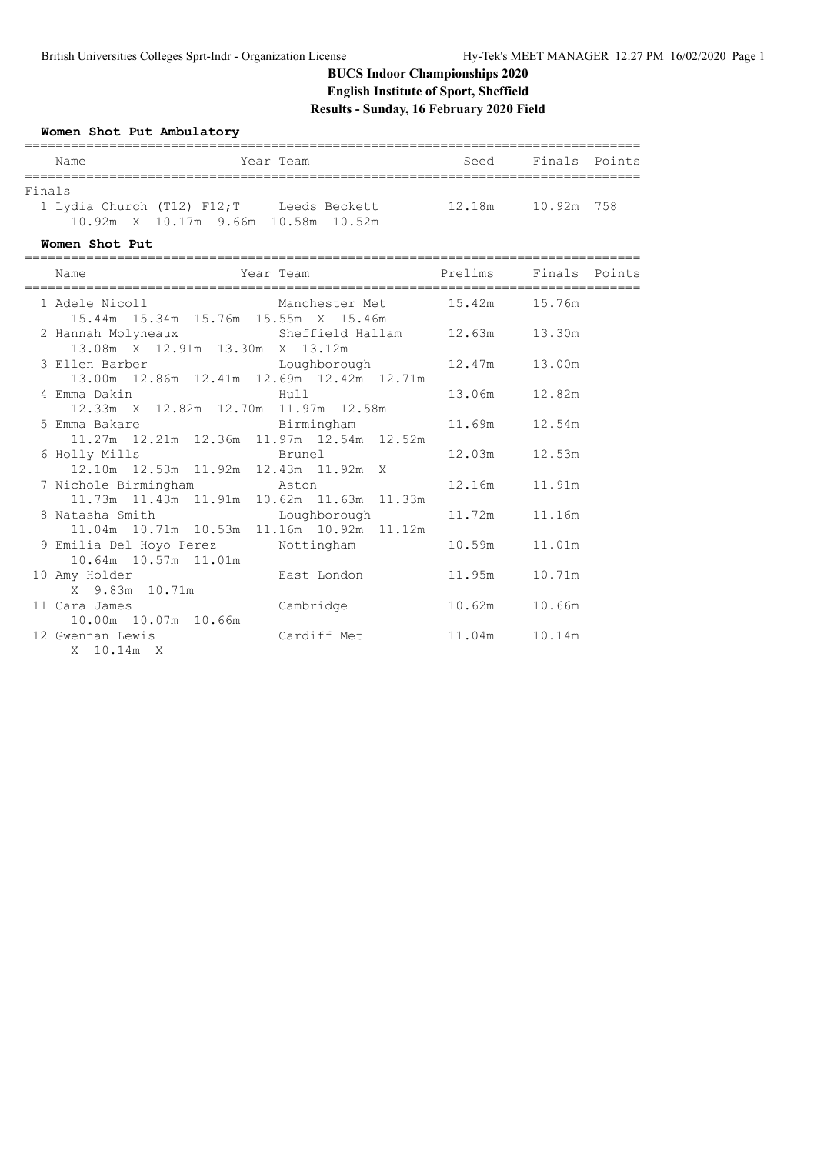### **BUCS Indoor Championships 2020 English Institute of Sport, Sheffield Results - Sunday, 16 February 2020 Field**

#### **Women Shot Put Ambulatory**

| Name                       |  | Year Team                                    | Seed   | Finals Points |  |  |  |  |
|----------------------------|--|----------------------------------------------|--------|---------------|--|--|--|--|
|                            |  |                                              |        |               |  |  |  |  |
| Finals                     |  |                                              |        |               |  |  |  |  |
| 1 Lydia Church (T12) F12;T |  | Leeds Beckett                                | 12.18m | 10.92m 758    |  |  |  |  |
|                            |  | $10.92m \times 10.17m$ 9.66m $10.58m$ 10.52m |        |               |  |  |  |  |

**Women Shot Put**

| Name                                                                                                                               | Year Team <b>Prelims</b> Finals Points |                 |        |  |
|------------------------------------------------------------------------------------------------------------------------------------|----------------------------------------|-----------------|--------|--|
| 1 Adele Nicoll Manchester Met 15.42m 15.76m<br>15.44m  15.34m  15.76m  15.55m  X  15.46m                                           |                                        |                 |        |  |
| 2 Hannah Molyneaux Sheffield Hallam 12.63m 13.30m<br>13.08m X 12.91m 13.30m X 13.12m                                               |                                        |                 |        |  |
| 3 Ellen Barber           Loughborough         12.47m     13.00m<br>13.00m  12.86m  12.41m  12.69m  12.42m  12.71m                  |                                        |                 |        |  |
| 4 Emma Dakin<br>Hull Hull<br>12.33m X 12.82m 12.70m 11.97m 12.58m                                                                  |                                        | 13.06m 12.82m   |        |  |
| 5 Emma Bakare                           Birmingham             11.69m     12.54m<br>11.27m  12.21m  12.36m  11.97m  12.54m  12.52m |                                        |                 |        |  |
| 6 Holly Mills Brunel<br>12.10m  12.53m  11.92m  12.43m  11.92m  X                                                                  |                                        | 12.03m   12.53m |        |  |
| 7 Nichole Birmingham Maton<br>11.73m  11.43m  11.91m  10.62m  11.63m  11.33m                                                       |                                        | 12.16m 11.91m   |        |  |
| 8 Natasha Smith Moughborough 11.72m 11.16m<br>11.04m  10.71m  10.53m  11.16m  10.92m  11.12m                                       |                                        |                 |        |  |
| 9 Emilia Del Hoyo Perez Nottingham 10.59m<br>10.64m 10.57m 11.01m                                                                  |                                        |                 | 11.01m |  |
| X 9.83m 10.71m                                                                                                                     |                                        |                 | 10.71m |  |
| 11 Cara James<br>10.00m 10.07m 10.66m                                                                                              | Cambridge                              | 10.62m          | 10.66m |  |
| 12 Gwennan Lewis Cardiff Met 11.04m 10.14m<br>X 10.14m X                                                                           |                                        |                 |        |  |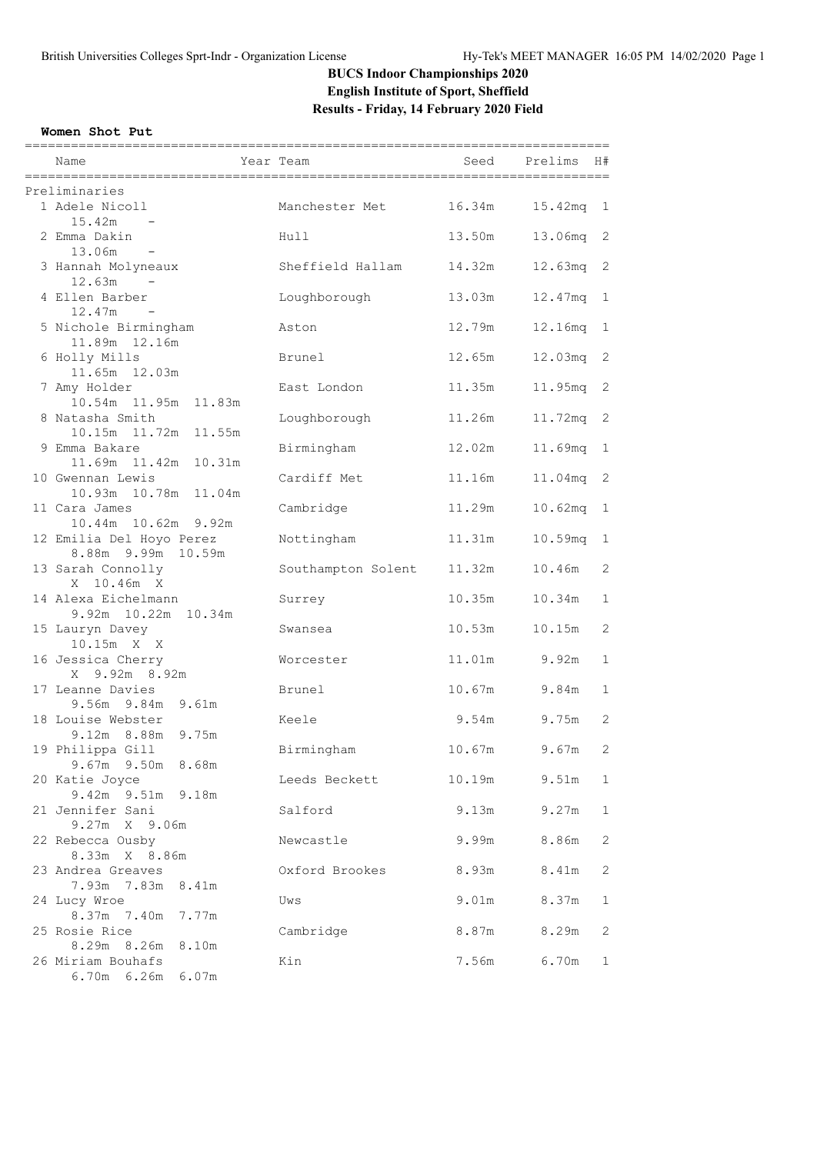# **BUCS Indoor Championships 2020 English Institute of Sport, Sheffield Results - Friday, 14 February 2020 Field**

#### **Women Shot Put**

| Name                                            | ===========<br>Year Team | Seed   | .=================================<br>Prelims<br>H# |
|-------------------------------------------------|--------------------------|--------|-----------------------------------------------------|
| Preliminaries                                   |                          |        |                                                     |
| 1 Adele Nicoll<br>15.42m                        | Manchester Met           | 16.34m | $15.42mg - 1$                                       |
| 2 Emma Dakin<br>13.06m<br>$\sim$ $-$            | Hull                     | 13.50m | 13.06mq<br>2                                        |
| 3 Hannah Molyneaux<br>12.63m                    | Sheffield Hallam         | 14.32m | 12.63mg<br>2                                        |
| 4 Ellen Barber<br>$12.47m -$                    | Loughborough             | 13.03m | 12.47mq<br>$\mathbf{1}$                             |
| 5 Nichole Birmingham<br>11.89m  12.16m          | Aston                    | 12.79m | 12.16mq<br>$\mathbf{1}$                             |
| 6 Holly Mills<br>11.65m 12.03m                  | Brunel                   | 12.65m | 12.03 <sub>mq</sub><br>2                            |
| 7 Amy Holder<br>10.54m 11.95m 11.83m            | East London              | 11.35m | 11.95mq 2                                           |
| 8 Natasha Smith<br>10.15m  11.72m<br>11.55m     | Loughborough             | 11.26m | 11.72mq<br>2                                        |
| 9 Emma Bakare<br>11.69m  11.42m                 | Birmingham               | 12.02m | 11.69mq<br>1                                        |
| 10.31m<br>10 Gwennan Lewis                      | Cardiff Met              | 11.16m | 11.04mg 2                                           |
| 10.93m 10.78m 11.04m<br>11 Cara James           | Cambridge                | 11.29m | 10.62mq<br>$\mathbf{1}$                             |
| 10.44m 10.62m 9.92m<br>12 Emilia Del Hoyo Perez | Nottingham               | 11.31m | 10.59mg<br>$\mathbf 1$                              |
| 8.88m 9.99m 10.59m<br>13 Sarah Connolly         | Southampton Solent       | 11.32m | 2<br>10.46m                                         |
| X 10.46m X<br>14 Alexa Eichelmann               | Surrey                   | 10.35m | 10.34m<br>$\mathbf 1$                               |
| 9.92m 10.22m 10.34m<br>15 Lauryn Davey          | Swansea                  | 10.53m | 2<br>10.15m                                         |
| 10.15m X X<br>16 Jessica Cherry                 | Worcester                | 11.01m | 9.92m<br>1                                          |
| X 9.92m 8.92m<br>17 Leanne Davies               | Brunel                   | 10.67m | 9.84m<br>1                                          |
| 9.56m 9.84m 9.61m<br>18 Louise Webster          | Keele                    | 9.54m  | 9.75m<br>2                                          |
| 9.12m 8.88m 9.75m<br>19 Philippa Gill           | Birmingham               | 10.67m | 9.67m<br>2                                          |
| 9.67m 9.50m 8.68m<br>20 Katie Joyce             | Leeds Beckett            | 10.19m | 9.51m<br>1                                          |
| 9.42m 9.51m 9.18m<br>21 Jennifer Sani           | Salford                  | 9.13m  | 9.27m<br>$\mathbf 1$                                |
| 9.27m X 9.06m<br>22 Rebecca Ousby               | Newcastle                | 9.99m  | 8.86m<br>$\mathbf{2}$                               |
| 8.33m X 8.86m<br>23 Andrea Greaves              | Oxford Brookes           | 8.93m  | 8.41m<br>2                                          |
| 7.93m 7.83m<br>8.41m<br>24 Lucy Wroe            | Uws                      | 9.01m  | 8.37m<br>1                                          |
| 8.37m 7.40m<br>7.77m<br>25 Rosie Rice           | Cambridge                | 8.87m  | 8.29m<br>2                                          |
| 8.29m 8.26m<br>8.10m<br>26 Miriam Bouhafs       | Kin                      | 7.56m  | 6.70m<br>1                                          |

6.70m 6.26m 6.07m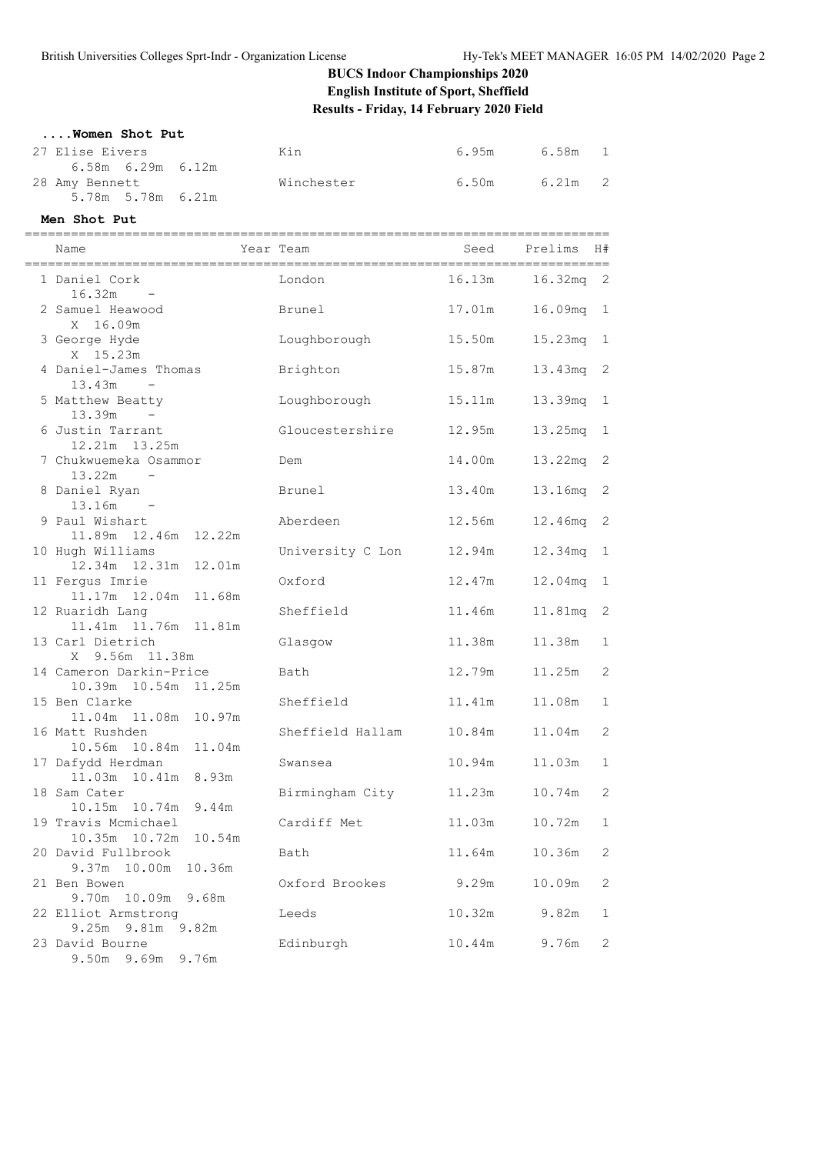# **BUCS Indoor Championships 2020 English Institute of Sport, Sheffield Results - Friday, 14 February 2020 Field**

#### **....Women Shot Put**

| 27 Elise Eivers     | Kin        | 6.95m | 6.58m 1                 |  |
|---------------------|------------|-------|-------------------------|--|
| 6.58m  6.29m  6.12m |            |       |                         |  |
| 28 Amy Bennett      | Winchester | 6.50m | $\overline{2}$<br>6.21m |  |
| 5.78m 5.78m 6.21m   |            |       |                         |  |

**Men Shot Put**

| Name                                                         | Year Team |                        | Seed             | Prelims               | H#              |
|--------------------------------------------------------------|-----------|------------------------|------------------|-----------------------|-----------------|
| 1 Daniel Cork<br>16.32m                                      |           | London                 | 16.13m           | 16.32 <sub>mq</sub> 2 |                 |
| 2 Samuel Heawood<br>X 16.09m                                 |           | Brunel                 | 17.01m           | 16.09mg               | $\mathbf{1}$    |
| 3 George Hyde<br>X 15.23m                                    |           | Loughborough           | 15.50m           | $15.23$ mq            | 1               |
| 4 Daniel-James Thomas<br>13.43m<br>$\sim 100$ km s $^{-1}$   |           | Brighton               | 15.87m           | 13.43mq               | 2               |
| 5 Matthew Beatty<br>13.39m                                   |           | Loughborough           | 15.11m           | 13.39mq               | 1               |
| 6 Justin Tarrant<br>12.21m  13.25m                           |           | Gloucestershire        | 12.95m           | 13.25mq               | 1               |
| 7 Chukwuemeka Osammor<br>$13.22m -$                          |           | Dem<br>Brunel          | 14.00m<br>13.40m | 13.22mq               | 2<br>2          |
| 8 Daniel Ryan<br>13.16m<br>9 Paul Wishart                    |           | Aberdeen               | 12.56m           | 13.16mq<br>12.46mq    | 2               |
| 11.89m  12.46m<br>12.22m<br>10 Hugh Williams                 |           | University C Lon       | 12.94m           | 12.34mq               | 1               |
| 12.34m  12.31m  12.01m<br>11 Ferqus Imrie                    |           | Oxford                 | 12.47m           | 12.04mq               | 1               |
| 11.17m  12.04m  11.68m<br>12 Ruaridh Lang                    |           | Sheffield              | 11.46m           | 11.81mq               | 2               |
| 11.41m 11.76m 11.81m<br>13 Carl Dietrich<br>X 9.56m 11.38m   |           | Glasgow                | 11.38m           | 11.38m                | 1               |
| 14 Cameron Darkin-Price<br>10.39m  10.54m  11.25m            |           | Bath                   | 12.79m           | 11.25m                | 2               |
| 15 Ben Clarke<br>11.04m  11.08m<br>10.97m                    |           | Sheffield              | 11.41m           | 11.08m                | 1               |
| 16 Matt Rushden<br>10.56m  10.84m<br>11.04m                  |           | Sheffield Hallam       | 10.84m           | 11.04m                | 2               |
| 17 Dafydd Herdman<br>11.03m  10.41m<br>8.93m                 |           | Swansea                | 10.94m           | 11.03m                | 1               |
| 18 Sam Cater<br>10.15m  10.74m  9.44m                        |           | Birmingham City        | 11.23m           | 10.74m                | 2               |
| 19 Travis Mcmichael<br>10.35m 10.72m<br>10.54m               |           | Cardiff Met            | 11.03m           | 10.72m                | 1               |
| 20 David Fullbrook<br>9.37m 10.00m<br>10.36m<br>21 Ben Bowen |           | Bath<br>Oxford Brookes | 11.64m<br>9.29m  | 10.36m<br>10.09m      | 2<br>$\sqrt{2}$ |
| 9.70m<br>10.09m<br>9.68m<br>22 Elliot Armstrong              |           | Leeds                  | 10.32m           | 9.82m                 | 1               |
| 9.25m 9.81m 9.82m<br>23 David Bourne                         |           | Edinburgh              | 10.44m           | 9.76m                 | 2               |
| 9.50m 9.69m 9.76m                                            |           |                        |                  |                       |                 |